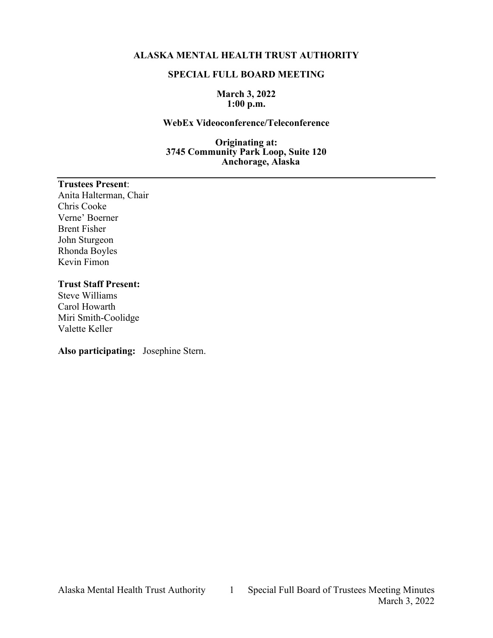### **ALASKA MENTAL HEALTH TRUST AUTHORITY**

#### **SPECIAL FULL BOARD MEETING**

#### **March 3, 2022 1:00 p.m.**

#### **WebEx Videoconference/Teleconference**

**Originating at: 3745 Community Park Loop, Suite 120 Anchorage, Alaska**

### **Trustees Present**:

Anita Halterman, Chair Chris Cooke Verne' Boerner Brent Fisher John Sturgeon Rhonda Boyles Kevin Fimon

## **Trust Staff Present:**

Steve Williams Carol Howarth Miri Smith-Coolidge Valette Keller

**Also participating:** Josephine Stern.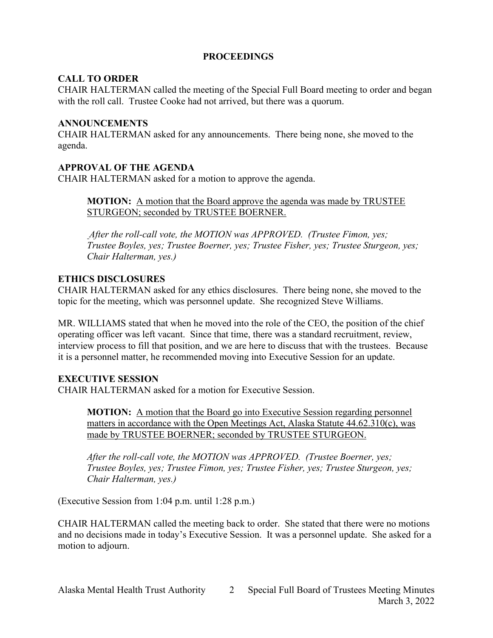# **PROCEEDINGS**

# **CALL TO ORDER**

CHAIR HALTERMAN called the meeting of the Special Full Board meeting to order and began with the roll call. Trustee Cooke had not arrived, but there was a quorum.

## **ANNOUNCEMENTS**

CHAIR HALTERMAN asked for any announcements. There being none, she moved to the agenda.

# **APPROVAL OF THE AGENDA**

CHAIR HALTERMAN asked for a motion to approve the agenda.

**MOTION:** A motion that the Board approve the agenda was made by TRUSTEE STURGEON; seconded by TRUSTEE BOERNER.

*After the roll-call vote, the MOTION was APPROVED. (Trustee Fimon, yes; Trustee Boyles, yes; Trustee Boerner, yes; Trustee Fisher, yes; Trustee Sturgeon, yes; Chair Halterman, yes.)*

## **ETHICS DISCLOSURES**

CHAIR HALTERMAN asked for any ethics disclosures. There being none, she moved to the topic for the meeting, which was personnel update. She recognized Steve Williams.

MR. WILLIAMS stated that when he moved into the role of the CEO, the position of the chief operating officer was left vacant. Since that time, there was a standard recruitment, review, interview process to fill that position, and we are here to discuss that with the trustees. Because it is a personnel matter, he recommended moving into Executive Session for an update.

# **EXECUTIVE SESSION**

CHAIR HALTERMAN asked for a motion for Executive Session.

**MOTION:** A motion that the Board go into Executive Session regarding personnel matters in accordance with the Open Meetings Act, Alaska Statute 44.62.310(c), was made by TRUSTEE BOERNER; seconded by TRUSTEE STURGEON.

*After the roll-call vote, the MOTION was APPROVED. (Trustee Boerner, yes; Trustee Boyles, yes; Trustee Fimon, yes; Trustee Fisher, yes; Trustee Sturgeon, yes; Chair Halterman, yes.)*

(Executive Session from 1:04 p.m. until 1:28 p.m.)

CHAIR HALTERMAN called the meeting back to order. She stated that there were no motions and no decisions made in today's Executive Session. It was a personnel update. She asked for a motion to adjourn.